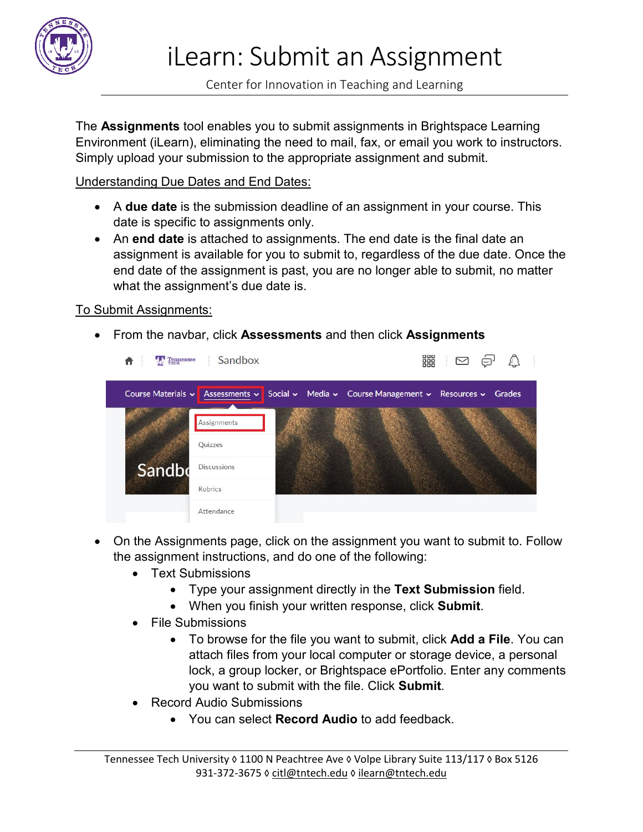

Center for Innovation in Teaching and Learning

The **Assignments** tool enables you to submit assignments in Brightspace Learning Environment (iLearn), eliminating the need to mail, fax, or email you work to instructors. Simply upload your submission to the appropriate assignment and submit.

Understanding Due Dates and End Dates:

- A **due date** is the submission deadline of an assignment in your course. This date is specific to assignments only.
- An **end date** is attached to assignments. The end date is the final date an assignment is available for you to submit to, regardless of the due date. Once the end date of the assignment is past, you are no longer able to submit, no matter what the assignment's due date is.

## To Submit Assignments:

• From the navbar, click **Assessments** and then click **Assignments**



- On the Assignments page, click on the assignment you want to submit to. Follow the assignment instructions, and do one of the following:
	- Text Submissions
		- Type your assignment directly in the **Text Submission** field.
		- When you finish your written response, click **Submit**.
	- File Submissions
		- To browse for the file you want to submit, click **Add a File**. You can attach files from your local computer or storage device, a personal lock, a group locker, or Brightspace ePortfolio. Enter any comments you want to submit with the file. Click **Submit**.
	- Record Audio Submissions
		- You can select **Record Audio** to add feedback.